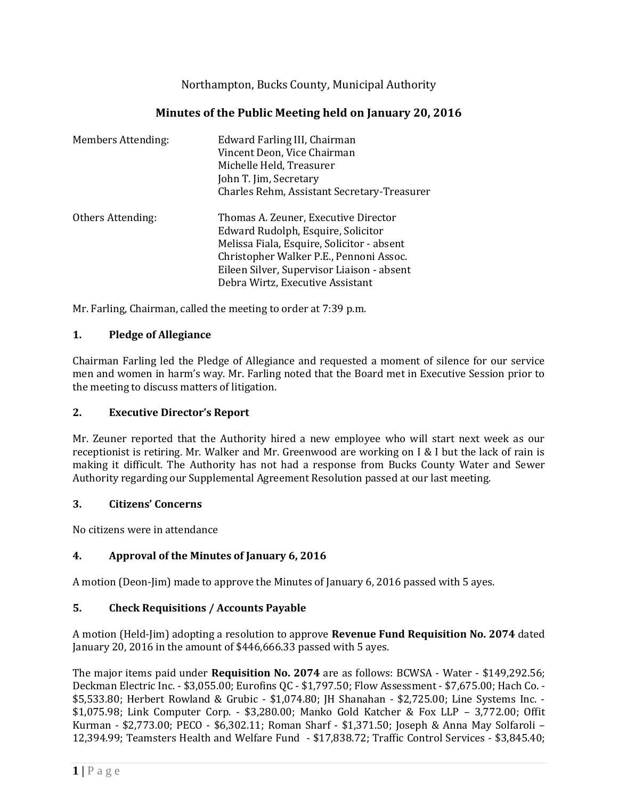Northampton, Bucks County, Municipal Authority

# **Minutes of the Public Meeting held on January 20, 2016**

| <b>Members Attending:</b> | Edward Farling III, Chairman<br>Vincent Deon, Vice Chairman<br>Michelle Held, Treasurer<br>John T. Jim, Secretary<br>Charles Rehm, Assistant Secretary-Treasurer                                                                                      |
|---------------------------|-------------------------------------------------------------------------------------------------------------------------------------------------------------------------------------------------------------------------------------------------------|
| Others Attending:         | Thomas A. Zeuner, Executive Director<br>Edward Rudolph, Esquire, Solicitor<br>Melissa Fiala, Esquire, Solicitor - absent<br>Christopher Walker P.E., Pennoni Assoc.<br>Eileen Silver, Supervisor Liaison - absent<br>Debra Wirtz, Executive Assistant |

Mr. Farling, Chairman, called the meeting to order at 7:39 p.m.

### **1. Pledge of Allegiance**

Chairman Farling led the Pledge of Allegiance and requested a moment of silence for our service men and women in harm's way. Mr. Farling noted that the Board met in Executive Session prior to the meeting to discuss matters of litigation.

# **2. Executive Director's Report**

Mr. Zeuner reported that the Authority hired a new employee who will start next week as our receptionist is retiring. Mr. Walker and Mr. Greenwood are working on I & I but the lack of rain is making it difficult. The Authority has not had a response from Bucks County Water and Sewer Authority regarding our Supplemental Agreement Resolution passed at our last meeting.

# **3. Citizens' Concerns**

No citizens were in attendance

# **4. Approval of the Minutes of January 6, 2016**

A motion (Deon-Jim) made to approve the Minutes of January 6, 2016 passed with 5 ayes.

# **5. Check Requisitions / Accounts Payable**

A motion (Held-Jim) adopting a resolution to approve **Revenue Fund Requisition No. 2074** dated January 20, 2016 in the amount of \$446,666.33 passed with 5 ayes.

The major items paid under **Requisition No. 2074** are as follows: BCWSA - Water - \$149,292.56; Deckman Electric Inc. - \$3,055.00; Eurofins QC - \$1,797.50; Flow Assessment - \$7,675.00; Hach Co. - \$5,533.80; Herbert Rowland & Grubic - \$1,074.80; JH Shanahan - \$2,725.00; Line Systems Inc. - \$1,075.98; Link Computer Corp. - \$3,280.00; Manko Gold Katcher & Fox LLP – 3,772.00; Offit Kurman - \$2,773.00; PECO - \$6,302.11; Roman Sharf - \$1,371.50; Joseph & Anna May Solfaroli – 12,394.99; Teamsters Health and Welfare Fund - \$17,838.72; Traffic Control Services - \$3,845.40;